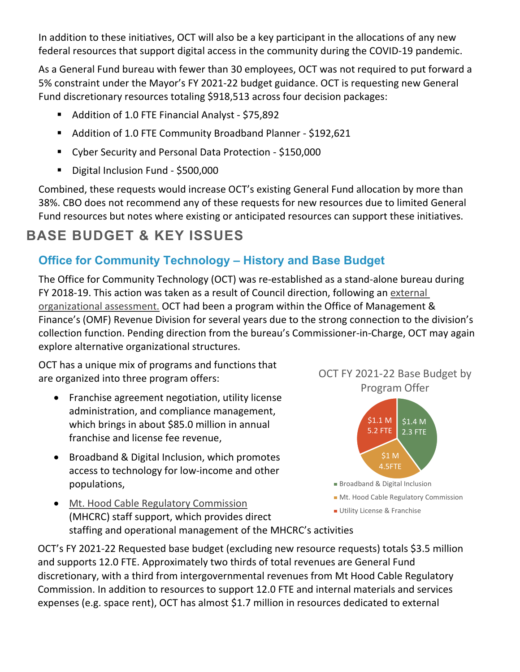In addition to these initiatives, OCT will also be a key participant in the allocations of any new federal resources that support digital access in the community during the COVID-19 pandemic.

As a General Fund bureau with fewer than 30 employees, OCT was not required to put forward a 5% constraint under the Mayor's FY 2021-22 budget guidance. OCT is requesting new General Fund discretionary resources totaling \$918,513 across four decision packages:

- Addition of 1.0 FTE Financial Analyst \$75,892
- Addition of 1.0 FTE Community Broadband Planner \$192,621
- Cyber Security and Personal Data Protection \$150,000
- Digital Inclusion Fund \$500,000

Combined, these requests would increase OCT's existing General Fund allocation by more than 38%. CBO does not recommend any of these requests for new resources due to limited General Fund resources but notes where existing or anticipated resources can support these initiatives.

## **BASE BUDGET & KEY ISSUES**

## **Office for Community Technology – History and Base Budget**

The Office for Community Technology (OCT) was re-established as a stand-alone bureau during FY 2018-19. This action was taken as a result of Council direction, following an [external](https://www.portlandoregon.gov/cbo/article/700380)  [organizational assessment.](https://www.portlandoregon.gov/cbo/article/700380) OCT had been a program within the Office of Management & Finance's (OMF) Revenue Division for several years due to the strong connection to the division's collection function. Pending direction from the bureau's Commissioner-in-Charge, OCT may again explore alternative organizational structures.

OCT has a unique mix of programs and functions that are organized into three program offers:

- Franchise agreement negotiation, utility license administration, and compliance management, which brings in about \$85.0 million in annual franchise and license fee revenue,
- Broadband & Digital Inclusion, which promotes access to technology for low-income and other populations,

• [Mt. Hood Cable Regulatory Commission](https://www.mhcrc.org/) (MHCRC) staff support, which provides direct staffing and operational management of the MHCRC's activities



OCT FY 2021-22 Base Budget by Program Offer



- **Broadband & Digital Inclusion**
- **Mt. Hood Cable Regulatory Commission**
- **Utility License & Franchise**